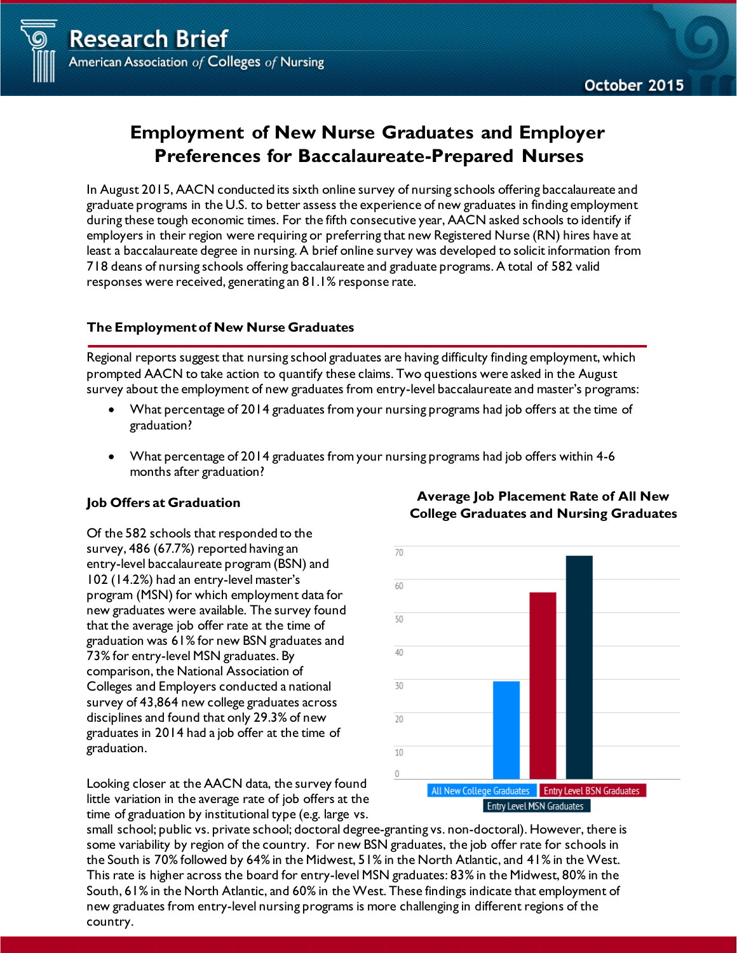



# **Employment of New Nurse Graduates and Employer Preferences for Baccalaureate-Prepared Nurses**

In August 2015, AACN conducted its sixth online survey of nursing schools offering baccalaureate and graduate programs in the U.S. to better assess the experience of new graduates in finding employment during these tough economic times. For the fifth consecutive year, AACN asked schools to identify if employers in their region were requiring or preferring that new Registered Nurse (RN) hires have at least a baccalaureate degree in nursing. A brief online survey was developed to solicit information from 718 deans of nursing schools offering baccalaureate and graduate programs. A total of 582 valid responses were received, generating an 81.1% response rate.

## **The Employmentof New Nurse Graduates**

Regional reports suggest that nursing school graduates are having difficulty finding employment, which prompted AACN to take action to quantify these claims. Two questions were asked in the August survey about the employment of new graduates from entry-level baccalaureate and master's programs:

- What percentage of 2014 graduates from your nursing programs had job offers at the time of graduation?
- What percentage of 2014 graduates from your nursing programs had job offers within 4-6 months after graduation?

### **Job Offers at Graduation**

Of the 582 schools that responded to the survey, 486 (67.7%) reported having an entry-level baccalaureate program (BSN) and 102 (14.2%) had an entry-level master's program (MSN) for which employment data for new graduates were available. The survey found that the average job offer rate at the time of graduation was 61% for new BSN graduates and 73% for entry-level MSN graduates. By comparison, the National Association of Colleges and Employers conducted a national survey of 43,864 new college graduates across disciplines and found that only 29.3% of new graduates in 2014 had a job offer at the time of graduation.

Looking closer at the AACN data, the survey found little variation in the average rate of job offers at the time of graduation by institutional type (e.g. large vs.



**Average Job Placement Rate of All New College Graduates and Nursing Graduates**

small school; public vs. private school; doctoral degree-granting vs. non-doctoral). However, there is some variability by region of the country. For new BSN graduates, the job offer rate for schools in the South is 70% followed by 64% in the Midwest, 51% in the North Atlantic, and 41% in the West. This rate is higher across the board for entry-level MSN graduates: 83% in the Midwest, 80% in the South, 61% in the North Atlantic, and 60% in the West. These findings indicate that employment of new graduates from entry-level nursing programs is more challenging in different regions of the country.